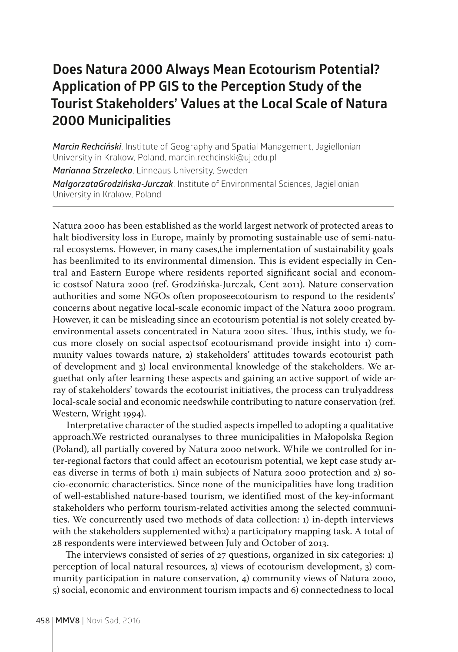## **Does Natura 2000 Always Mean Ecotourism Potential? Application of PP GIS to the Perception Study of the Tourist Stakeholders' Values at the Local Scale of Natura 2000 Municipalities**

*Marcin Rechciński*, Institute of Geography and Spatial Management, Jagiellonian University in Krakow, Poland, marcin.rechcinski@uj.edu.pl *Marianna Strzelecka*, Linneaus University, Sweden *MałgorzataGrodzińska-Jurczak*, Institute of Environmental Sciences, Jagiellonian University in Krakow, Poland

Natura 2000 has been established as the world largest network of protected areas to halt biodiversity loss in Europe, mainly by promoting sustainable use of semi-natural ecosystems. However, in many cases,the implementation of sustainability goals has beenlimited to its environmental dimension. This is evident especially in Central and Eastern Europe where residents reported significant social and economic costsof Natura 2000 (ref. Grodzińska-Jurczak, Cent 2011). Nature conservation authorities and some NGOs often proposeecotourism to respond to the residents' concerns about negative local-scale economic impact of the Natura 2000 program. However, it can be misleading since an ecotourism potential is not solely created byenvironmental assets concentrated in Natura 2000 sites. Thus, inthis study, we focus more closely on social aspectsof ecotourismand provide insight into 1) community values towards nature, 2) stakeholders' attitudes towards ecotourist path of development and 3) local environmental knowledge of the stakeholders. We arguethat only after learning these aspects and gaining an active support of wide array of stakeholders' towards the ecotourist initiatives, the process can trulyaddress local-scale social and economic needswhile contributing to nature conservation (ref. Western, Wright 1994).

Interpretative character of the studied aspects impelled to adopting a qualitative approach.We restricted ouranalyses to three municipalities in Małopolska Region (Poland), all partially covered by Natura 2000 network. While we controlled for inter-regional factors that could affect an ecotourism potential, we kept case study areas diverse in terms of both 1) main subjects of Natura 2000 protection and 2) socio-economic characteristics. Since none of the municipalities have long tradition of well-established nature-based tourism, we identified most of the key-informant stakeholders who perform tourism-related activities among the selected communities. We concurrently used two methods of data collection: 1) in-depth interviews with the stakeholders supplemented with2) a participatory mapping task. A total of 28 respondents were interviewed between July and October of 2013.

The interviews consisted of series of 27 questions, organized in six categories: 1) perception of local natural resources, 2) views of ecotourism development, 3) community participation in nature conservation, 4) community views of Natura 2000, 5) social, economic and environment tourism impacts and 6) connectedness to local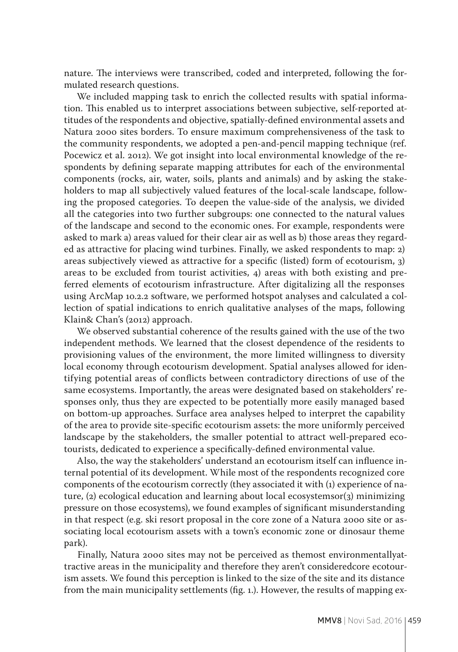nature. The interviews were transcribed, coded and interpreted, following the formulated research questions.

We included mapping task to enrich the collected results with spatial information. This enabled us to interpret associations between subjective, self-reported attitudes of the respondents and objective, spatially-defined environmental assets and Natura 2000 sites borders. To ensure maximum comprehensiveness of the task to the community respondents, we adopted a pen-and-pencil mapping technique (ref. Pocewicz et al. 2012). We got insight into local environmental knowledge of the respondents by defining separate mapping attributes for each of the environmental components (rocks, air, water, soils, plants and animals) and by asking the stakeholders to map all subjectively valued features of the local-scale landscape, following the proposed categories. To deepen the value-side of the analysis, we divided all the categories into two further subgroups: one connected to the natural values of the landscape and second to the economic ones. For example, respondents were asked to mark a) areas valued for their clear air as well as b) those areas they regarded as attractive for placing wind turbines. Finally, we asked respondents to map: 2) areas subjectively viewed as attractive for a specific (listed) form of ecotourism, 3) areas to be excluded from tourist activities, 4) areas with both existing and preferred elements of ecotourism infrastructure. After digitalizing all the responses using ArcMap 10.2.2 software, we performed hotspot analyses and calculated a collection of spatial indications to enrich qualitative analyses of the maps, following Klain& Chan's (2012) approach.

We observed substantial coherence of the results gained with the use of the two independent methods. We learned that the closest dependence of the residents to provisioning values of the environment, the more limited willingness to diversity local economy through ecotourism development. Spatial analyses allowed for identifying potential areas of conflicts between contradictory directions of use of the same ecosystems. Importantly, the areas were designated based on stakeholders' responses only, thus they are expected to be potentially more easily managed based on bottom-up approaches. Surface area analyses helped to interpret the capability of the area to provide site-specific ecotourism assets: the more uniformly perceived landscape by the stakeholders, the smaller potential to attract well-prepared ecotourists, dedicated to experience a specifically-defined environmental value.

Also, the way the stakeholders' understand an ecotourism itself can influence internal potential of its development. While most of the respondents recognized core components of the ecotourism correctly (they associated it with (1) experience of nature, (2) ecological education and learning about local ecosystemsor(3) minimizing pressure on those ecosystems), we found examples of significant misunderstanding in that respect (e.g. ski resort proposal in the core zone of a Natura 2000 site or associating local ecotourism assets with a town's economic zone or dinosaur theme park).

Finally, Natura 2000 sites may not be perceived as themost environmentallyattractive areas in the municipality and therefore they aren't consideredcore ecotourism assets. We found this perception is linked to the size of the site and its distance from the main municipality settlements (fig. 1.). However, the results of mapping ex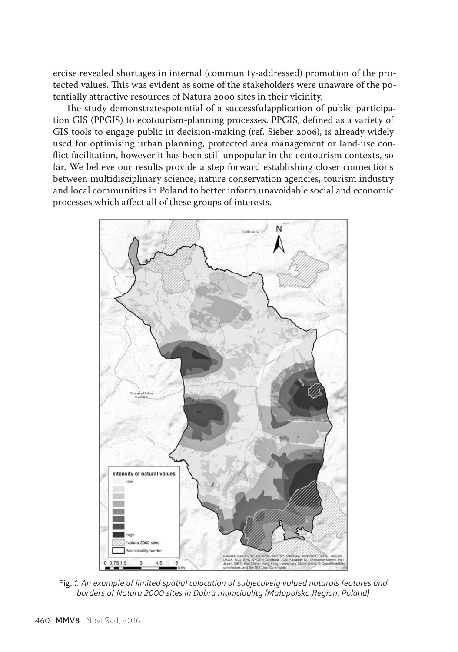ercise revealed shortages in internal (community-addressed) promotion of the protected values. This was evident as some of the stakeholders were unaware of the potentially attractive resources of Natura 2000 sites in their vicinity.

The study demonstratespotential of a successfulapplication of public participation GIS (PPGIS) to ecotourism-planning processes. PPGIS, defined as a variety of GIS tools to engage public in decision-making (ref. Sieber 2006), is already widely used for optimising urban planning, protected area management or land-use conflict facilitation, however it has been still unpopular in the ecotourism contexts, so far. We believe our results provide a step forward establishing closer connections between multidisciplinary science, nature conservation agencies, tourism industry and local communities in Poland to better inform unavoidable social and economic processes which affect all of these groups of interests.



**Fig.** *1. An example of limited spatial colocation of subjectively valued naturals features and borders of Natura 2000 sites in Dobra municipality (Małopolska Region, Poland)*